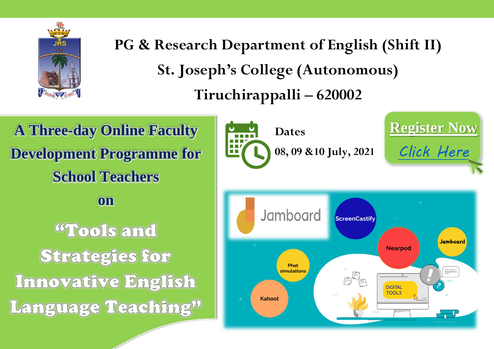

**PG & Research Department of English (Shift II) St. Joseph's College (Autonomous) Tiruchirappalli – 620002**

**A Three-day Online Faculty Development Programme for School Teachers on WTools and** Strategies for Innovative English Language Teaching"

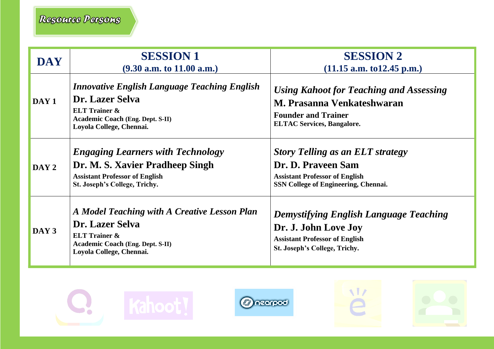| <b>DAY</b>       | <b>SESSION 1</b><br>$(9.30$ a.m. to $11.00$ a.m.)                                                                                                                         | <b>SESSION 2</b><br>$(11.15$ a.m. to 12.45 p.m.)                                                                                                      |
|------------------|---------------------------------------------------------------------------------------------------------------------------------------------------------------------------|-------------------------------------------------------------------------------------------------------------------------------------------------------|
| DAY <sub>1</sub> | <b>Innovative English Language Teaching English</b><br>Dr. Lazer Selva<br><b>ELT Trainer &amp;</b><br><b>Academic Coach (Eng. Dept. S-II)</b><br>Loyola College, Chennai. | Using Kahoot for Teaching and Assessing<br>M. Prasanna Venkateshwaran<br><b>Founder and Trainer</b><br><b>ELTAC Services, Bangalore.</b>              |
| DAY 2            | <b>Engaging Learners with Technology</b><br>Dr. M. S. Xavier Pradheep Singh<br><b>Assistant Professor of English</b><br>St. Joseph's College, Trichy.                     | <b>Story Telling as an ELT strategy</b><br>Dr. D. Praveen Sam<br><b>Assistant Professor of English</b><br><b>SSN College of Engineering, Chennai.</b> |
| DAY 3            | A Model Teaching with A Creative Lesson Plan<br>Dr. Lazer Selva<br><b>ELT Trainer &amp;</b><br><b>Academic Coach (Eng. Dept. S-II)</b><br>Loyola College, Chennai.        | <b>Demystifying English Language Teaching</b><br>Dr. J. John Love Joy<br><b>Assistant Professor of English</b><br>St. Joseph's College, Trichy.       |







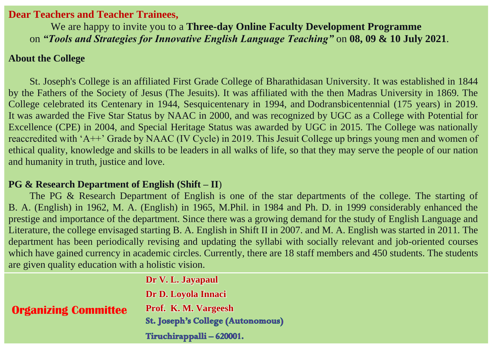### **Dear Teachers and Teacher Trainees,**

We are happy to invite you to a **Three-day Online Faculty Development Programme**  on *"Tools and Strategies for Innovative English Language Teaching"* on **08, 09 & 10 July 2021**.

### **About the College**

St. Joseph's College is an affiliated First Grade College of Bharathidasan University. It was established in 1844 by the Fathers of the Society of Jesus (The Jesuits). It was affiliated with the then Madras University in 1869. The College celebrated its Centenary in 1944, Sesquicentenary in 1994, and Dodransbicentennial (175 years) in 2019. It was awarded the Five Star Status by NAAC in 2000, and was recognized by UGC as a College with Potential for Excellence (CPE) in 2004, and Special Heritage Status was awarded by UGC in 2015. The College was nationally reaccredited with 'A++' Grade by NAAC (IV Cycle) in 2019. This Jesuit College up brings young men and women of ethical quality, knowledge and skills to be leaders in all walks of life, so that they may serve the people of our nation and humanity in truth, justice and love.

## **PG & Research Department of English (Shift – II**)

The PG & Research Department of English is one of the star departments of the college. The starting of B. A. (English) in 1962, M. A. (English) in 1965, M.Phil. in 1984 and Ph. D. in 1999 considerably enhanced the prestige and importance of the department. Since there was a growing demand for the study of English Language and Literature, the college envisaged starting B. A. English in Shift II in 2007. and M. A. English was started in 2011. The department has been periodically revising and updating the syllabi with socially relevant and job-oriented courses which have gained currency in academic circles. Currently, there are 18 staff members and 450 students. The students are given quality education with a holistic vision.

|                             | Dr V. L. Jayapaul                        |
|-----------------------------|------------------------------------------|
|                             | Dr D. Loyola Innaci                      |
| <b>Organizing Committee</b> | Prof. K. M. Vargeesh                     |
|                             | <b>St. Joseph's College (Autonomous)</b> |
|                             | Tiruchirappalli - 620001.                |